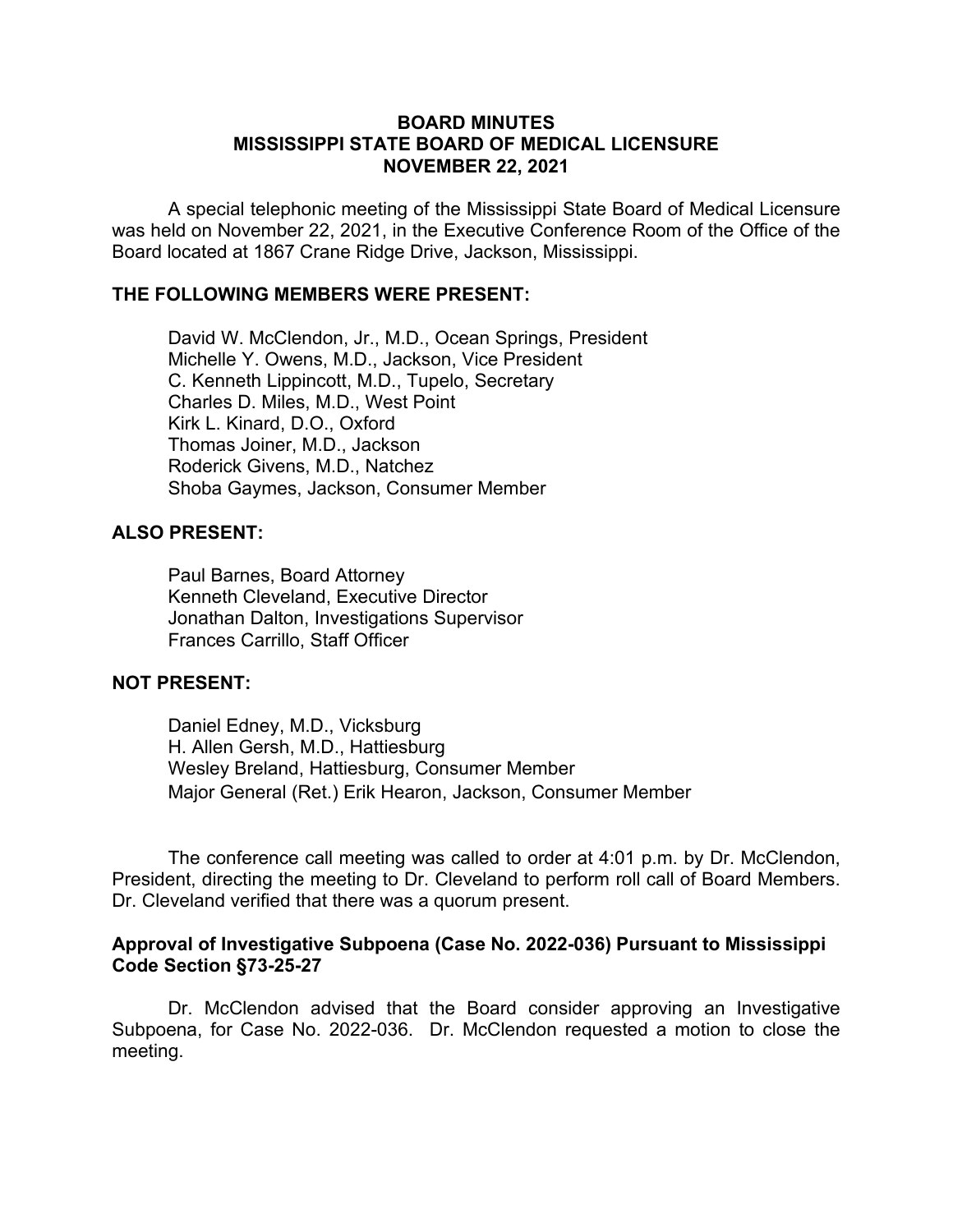## **BOARD MINUTES MISSISSIPPI STATE BOARD OF MEDICAL LICENSURE NOVEMBER 22, 2021**

A special telephonic meeting of the Mississippi State Board of Medical Licensure was held on November 22, 2021, in the Executive Conference Room of the Office of the Board located at 1867 Crane Ridge Drive, Jackson, Mississippi.

## **THE FOLLOWING MEMBERS WERE PRESENT:**

David W. McClendon, Jr., M.D., Ocean Springs, President Michelle Y. Owens, M.D., Jackson, Vice President C. Kenneth Lippincott, M.D., Tupelo, Secretary Charles D. Miles, M.D., West Point Kirk L. Kinard, D.O., Oxford Thomas Joiner, M.D., Jackson Roderick Givens, M.D., Natchez Shoba Gaymes, Jackson, Consumer Member

# **ALSO PRESENT:**

Paul Barnes, Board Attorney Kenneth Cleveland, Executive Director Jonathan Dalton, Investigations Supervisor Frances Carrillo, Staff Officer

#### **NOT PRESENT:**

Daniel Edney, M.D., Vicksburg H. Allen Gersh, M.D., Hattiesburg Wesley Breland, Hattiesburg, Consumer Member Major General (Ret.) Erik Hearon, Jackson, Consumer Member

The conference call meeting was called to order at 4:01 p.m. by Dr. McClendon, President, directing the meeting to Dr. Cleveland to perform roll call of Board Members. Dr. Cleveland verified that there was a quorum present.

## **Approval of Investigative Subpoena (Case No. 2022-036) Pursuant to Mississippi Code Section §73-25-27**

Dr. McClendon advised that the Board consider approving an Investigative Subpoena, for Case No. 2022-036. Dr. McClendon requested a motion to close the meeting.